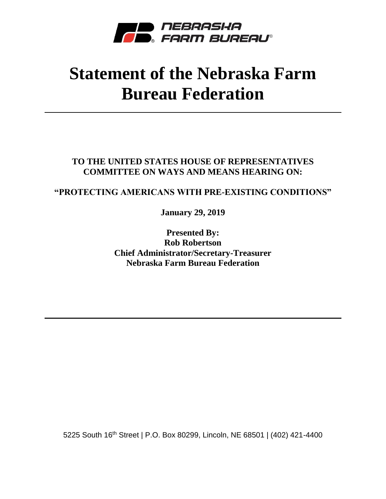

## **Statement of the Nebraska Farm Bureau Federation**

**TO THE UNITED STATES HOUSE OF REPRESENTATIVES COMMITTEE ON WAYS AND MEANS HEARING ON:**

## **"PROTECTING AMERICANS WITH PRE-EXISTING CONDITIONS"**

**January 29, 2019**

**Presented By: Rob Robertson Chief Administrator/Secretary-Treasurer Nebraska Farm Bureau Federation**

5225 South 16th Street | P.O. Box 80299, Lincoln, NE 68501 | (402) 421-4400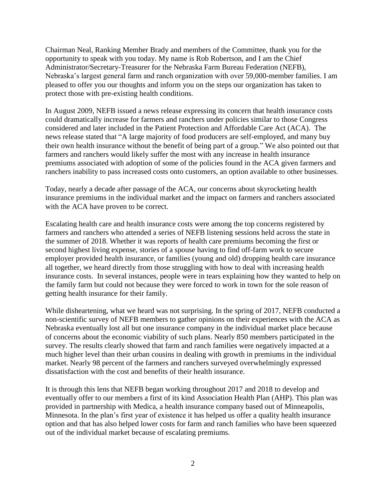Chairman Neal, Ranking Member Brady and members of the Committee, thank you for the opportunity to speak with you today. My name is Rob Robertson, and I am the Chief Administrator/Secretary-Treasurer for the Nebraska Farm Bureau Federation (NEFB), Nebraska's largest general farm and ranch organization with over 59,000-member families. I am pleased to offer you our thoughts and inform you on the steps our organization has taken to protect those with pre-existing health conditions.

In August 2009, NEFB issued a news release expressing its concern that health insurance costs could dramatically increase for farmers and ranchers under policies similar to those Congress considered and later included in the Patient Protection and Affordable Care Act (ACA). The news release stated that "A large majority of food producers are self-employed, and many buy their own health insurance without the benefit of being part of a group." We also pointed out that farmers and ranchers would likely suffer the most with any increase in health insurance premiums associated with adoption of some of the policies found in the ACA given farmers and ranchers inability to pass increased costs onto customers, an option available to other businesses.

Today, nearly a decade after passage of the ACA, our concerns about skyrocketing health insurance premiums in the individual market and the impact on farmers and ranchers associated with the ACA have proven to be correct.

Escalating health care and health insurance costs were among the top concerns registered by farmers and ranchers who attended a series of NEFB listening sessions held across the state in the summer of 2018. Whether it was reports of health care premiums becoming the first or second highest living expense, stories of a spouse having to find off-farm work to secure employer provided health insurance, or families (young and old) dropping health care insurance all together, we heard directly from those struggling with how to deal with increasing health insurance costs. In several instances, people were in tears explaining how they wanted to help on the family farm but could not because they were forced to work in town for the sole reason of getting health insurance for their family.

While disheartening, what we heard was not surprising. In the spring of 2017, NEFB conducted a non-scientific survey of NEFB members to gather opinions on their experiences with the ACA as Nebraska eventually lost all but one insurance company in the individual market place because of concerns about the economic viability of such plans. Nearly 850 members participated in the survey. The results clearly showed that farm and ranch families were negatively impacted at a much higher level than their urban cousins in dealing with growth in premiums in the individual market. Nearly 98 percent of the farmers and ranchers surveyed overwhelmingly expressed dissatisfaction with the cost and benefits of their health insurance.

It is through this lens that NEFB began working throughout 2017 and 2018 to develop and eventually offer to our members a first of its kind Association Health Plan (AHP). This plan was provided in partnership with Medica, a health insurance company based out of Minneapolis, Minnesota. In the plan's first year of existence it has helped us offer a quality health insurance option and that has also helped lower costs for farm and ranch families who have been squeezed out of the individual market because of escalating premiums.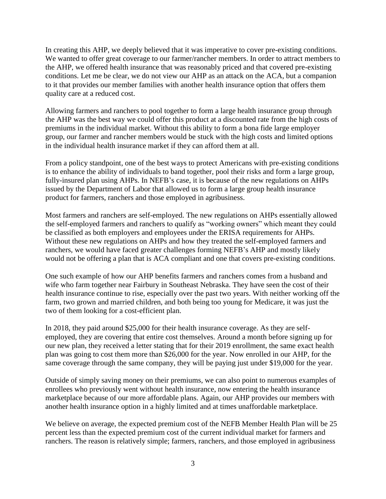In creating this AHP, we deeply believed that it was imperative to cover pre-existing conditions. We wanted to offer great coverage to our farmer/rancher members. In order to attract members to the AHP, we offered health insurance that was reasonably priced and that covered pre-existing conditions. Let me be clear, we do not view our AHP as an attack on the ACA, but a companion to it that provides our member families with another health insurance option that offers them quality care at a reduced cost.

Allowing farmers and ranchers to pool together to form a large health insurance group through the AHP was the best way we could offer this product at a discounted rate from the high costs of premiums in the individual market. Without this ability to form a bona fide large employer group, our farmer and rancher members would be stuck with the high costs and limited options in the individual health insurance market if they can afford them at all.

From a policy standpoint, one of the best ways to protect Americans with pre-existing conditions is to enhance the ability of individuals to band together, pool their risks and form a large group, fully-insured plan using AHPs. In NEFB's case, it is because of the new regulations on AHPs issued by the Department of Labor that allowed us to form a large group health insurance product for farmers, ranchers and those employed in agribusiness.

Most farmers and ranchers are self-employed. The new regulations on AHPs essentially allowed the self-employed farmers and ranchers to qualify as "working owners" which meant they could be classified as both employers and employees under the ERISA requirements for AHPs. Without these new regulations on AHPs and how they treated the self-employed farmers and ranchers, we would have faced greater challenges forming NEFB's AHP and mostly likely would not be offering a plan that is ACA compliant and one that covers pre-existing conditions.

One such example of how our AHP benefits farmers and ranchers comes from a husband and wife who farm together near Fairbury in Southeast Nebraska. They have seen the cost of their health insurance continue to rise, especially over the past two years. With neither working off the farm, two grown and married children, and both being too young for Medicare, it was just the two of them looking for a cost-efficient plan.

In 2018, they paid around \$25,000 for their health insurance coverage. As they are selfemployed, they are covering that entire cost themselves. Around a month before signing up for our new plan, they received a letter stating that for their 2019 enrollment, the same exact health plan was going to cost them more than \$26,000 for the year. Now enrolled in our AHP, for the same coverage through the same company, they will be paying just under \$19,000 for the year.

Outside of simply saving money on their premiums, we can also point to numerous examples of enrollees who previously went without health insurance, now entering the health insurance marketplace because of our more affordable plans. Again, our AHP provides our members with another health insurance option in a highly limited and at times unaffordable marketplace.

We believe on average, the expected premium cost of the NEFB Member Health Plan will be 25 percent less than the expected premium cost of the current individual market for farmers and ranchers. The reason is relatively simple; farmers, ranchers, and those employed in agribusiness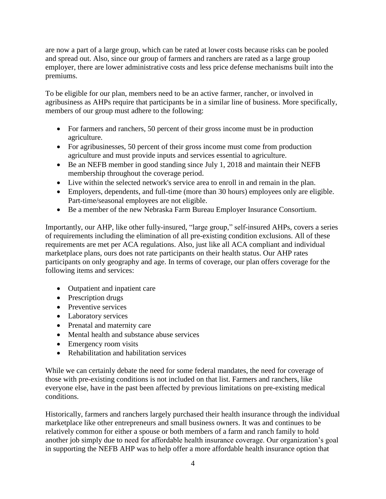are now a part of a large group, which can be rated at lower costs because risks can be pooled and spread out. Also, since our group of farmers and ranchers are rated as a large group employer, there are lower administrative costs and less price defense mechanisms built into the premiums.

To be eligible for our plan, members need to be an active farmer, rancher, or involved in agribusiness as AHPs require that participants be in a similar line of business. More specifically, members of our group must adhere to the following:

- For farmers and ranchers, 50 percent of their gross income must be in production agriculture.
- For agribusinesses, 50 percent of their gross income must come from production agriculture and must provide inputs and services essential to agriculture.
- Be an NEFB member in good standing since July 1, 2018 and maintain their NEFB membership throughout the coverage period.
- Live within the selected network's service area to enroll in and remain in the plan.
- Employers, dependents, and full-time (more than 30 hours) employees only are eligible. Part-time/seasonal employees are not eligible.
- Be a member of the new Nebraska Farm Bureau Employer Insurance Consortium.

Importantly, our AHP, like other fully-insured, "large group," self-insured AHPs, covers a series of requirements including the elimination of all pre-existing condition exclusions. All of these requirements are met per ACA regulations. Also, just like all ACA compliant and individual marketplace plans, ours does not rate participants on their health status. Our AHP rates participants on only geography and age. In terms of coverage, our plan offers coverage for the following items and services:

- Outpatient and inpatient care
- Prescription drugs
- Preventive services
- Laboratory services
- Prenatal and maternity care
- Mental health and substance abuse services
- Emergency room visits
- Rehabilitation and habilitation services

While we can certainly debate the need for some federal mandates, the need for coverage of those with pre-existing conditions is not included on that list. Farmers and ranchers, like everyone else, have in the past been affected by previous limitations on pre-existing medical conditions.

Historically, farmers and ranchers largely purchased their health insurance through the individual marketplace like other entrepreneurs and small business owners. It was and continues to be relatively common for either a spouse or both members of a farm and ranch family to hold another job simply due to need for affordable health insurance coverage. Our organization's goal in supporting the NEFB AHP was to help offer a more affordable health insurance option that